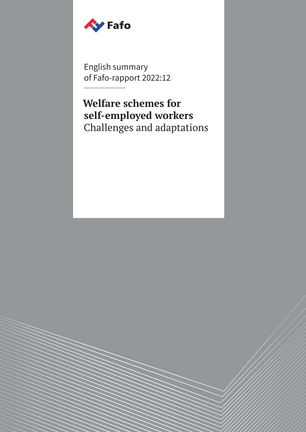

English summary of Fafo-rapport 2022:12

**Welfare schemes for self-employed workers** Challenges and adaptations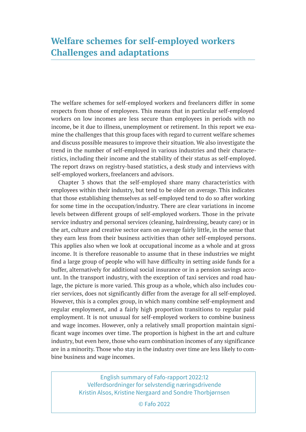The welfare schemes for self-employed workers and freelancers differ in some respects from those of employees. This means that in particular self-employed workers on low incomes are less secure than employees in periods with no income, be it due to illness, unemployment or retirement. In this report we examine the challenges that this group faces with regard to current welfare schemes and discuss possible measures to improve their situation. We also investigate the trend in the number of self-employed in various industries and their characteristics, including their income and the stability of their status as self-employed. The report draws on registry-based statistics, a desk study and interviews with self-employed workers, freelancers and advisors.

Chapter 3 shows that the self-employed share many characteristics with employees within their industry, but tend to be older on average. This indicates that those establishing themselves as self-employed tend to do so after working for some time in the occupation/industry. There are clear variations in income levels between different groups of self-employed workers. Those in the private service industry and personal services (cleaning, hairdressing, beauty care) or in the art, culture and creative sector earn on average fairly little, in the sense that they earn less from their business activities than other self-employed persons. This applies also when we look at occupational income as a whole and at gross income. It is therefore reasonable to assume that in these industries we might find a large group of people who will have difficulty in setting aside funds for a buffer, alternatively for additional social insurance or in a pension savings account. In the transport industry, with the exception of taxi services and road haulage, the picture is more varied. This group as a whole, which also includes courier services, does not significantly differ from the average for all self-employed. However, this is a complex group, in which many combine self-employment and regular employment, and a fairly high proportion transitions to regular paid employment. It is not unusual for self-employed workers to combine business and wage incomes. However, only a relatively small proportion maintain significant wage incomes over time. The proportion is highest in the art and culture industry, but even here, those who earn combination incomes of any significance are in a minority. Those who stay in the industry over time are less likely to combine business and wage incomes.

> English summary of Fafo-rapport 2022:12 Velferdsordninger for selvstendig næringsdrivende Kristin Alsos, Kristine Nergaard and Sondre Thorbjørnsen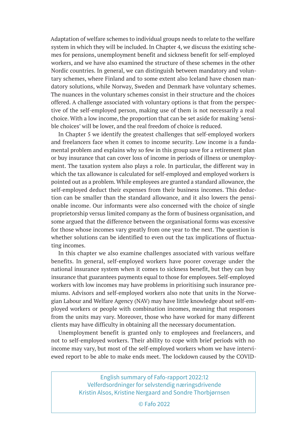Adaptation of welfare schemes to individual groups needs to relate to the welfare system in which they will be included. In Chapter 4, we discuss the existing schemes for pensions, unemployment benefit and sickness benefit for self-employed workers, and we have also examined the structure of these schemes in the other Nordic countries. In general, we can distinguish between mandatory and voluntary schemes, where Finland and to some extent also Iceland have chosen mandatory solutions, while Norway, Sweden and Denmark have voluntary schemes. The nuances in the voluntary schemes consist in their structure and the choices offered. A challenge associated with voluntary options is that from the perspective of the self-employed person, making use of them is not necessarily a real choice. With a low income, the proportion that can be set aside for making 'sensible choices' will be lower, and the real freedom of choice is reduced.

In Chapter 5 we identify the greatest challenges that self-employed workers and freelancers face when it comes to income security. Low income is a fundamental problem and explains why so few in this group save for a retirement plan or buy insurance that can cover loss of income in periods of illness or unemployment. The taxation system also plays a role. In particular, the different way in which the tax allowance is calculated for self-employed and employed workers is pointed out as a problem. While employees are granted a standard allowance, the self-employed deduct their expenses from their business incomes. This deduction can be smaller than the standard allowance, and it also lowers the pensionable income. Our informants were also concerned with the choice of single proprietorship versus limited company as the form of business organisation, and some argued that the difference between the organisational forms was excessive for those whose incomes vary greatly from one year to the next. The question is whether solutions can be identified to even out the tax implications of fluctuating incomes.

In this chapter we also examine challenges associated with various welfare benefits. In general, self-employed workers have poorer coverage under the national insurance system when it comes to sickness benefit, but they can buy insurance that guarantees payments equal to those for employees. Self-employed workers with low incomes may have problems in prioritising such insurance premiums. Advisors and self-employed workers also note that units in the Norwegian Labour and Welfare Agency (NAV) may have little knowledge about self-employed workers or people with combination incomes, meaning that responses from the units may vary. Moreover, those who have worked for many different clients may have difficulty in obtaining all the necessary documentation.

Unemployment benefit is granted only to employees and freelancers, and not to self-employed workers. Their ability to cope with brief periods with no income may vary, but most of the self-employed workers whom we have interviewed report to be able to make ends meet. The lockdown caused by the COVID-

> English summary of Fafo-rapport 2022:12 Velferdsordninger for selvstendig næringsdrivende Kristin Alsos, Kristine Nergaard and Sondre Thorbjørnsen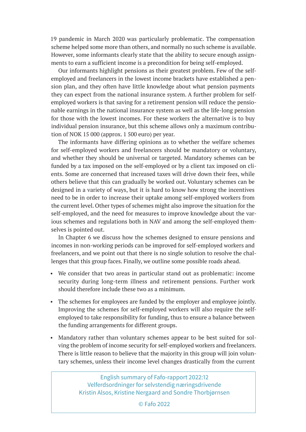19 pandemic in March 2020 was particularly problematic. The compensation scheme helped some more than others, and normally no such scheme is available. However, some informants clearly state that the ability to secure enough assignments to earn a sufficient income is a precondition for being self-employed.

Our informants highlight pensions as their greatest problem. Few of the selfemployed and freelancers in the lowest income brackets have established a pension plan, and they often have little knowledge about what pension payments they can expect from the national insurance system. A further problem for selfemployed workers is that saving for a retirement pension will reduce the pensionable earnings in the national insurance system as well as the life-long pension for those with the lowest incomes. For these workers the alternative is to buy individual pension insurance, but this scheme allows only a maximum contribution of NOK 15 000 (approx. 1 500 euro) per year.

The informants have differing opinions as to whether the welfare schemes for self-employed workers and freelancers should be mandatory or voluntary, and whether they should be universal or targeted. Mandatory schemes can be funded by a tax imposed on the self-employed or by a client tax imposed on clients. Some are concerned that increased taxes will drive down their fees, while others believe that this can gradually be worked out. Voluntary schemes can be designed in a variety of ways, but it is hard to know how strong the incentives need to be in order to increase their uptake among self-employed workers from the current level. Other types of schemes might also improve the situation for the self-employed, and the need for measures to improve knowledge about the various schemes and regulations both in NAV and among the self-employed themselves is pointed out.

In Chapter 6 we discuss how the schemes designed to ensure pensions and incomes in non-working periods can be improved for self-employed workers and freelancers, and we point out that there is no single solution to resolve the challenges that this group faces. Finally, we outline some possible roads ahead.

- We consider that two areas in particular stand out as problematic: income security during long-term illness and retirement pensions. Further work should therefore include these two as a minimum.
- The schemes for employees are funded by the employer and employee jointly. Improving the schemes for self-employed workers will also require the selfemployed to take responsibility for funding, thus to ensure a balance between the funding arrangements for different groups.
- Mandatory rather than voluntary schemes appear to be best suited for solving the problem of income security for self-employed workers and freelancers. There is little reason to believe that the majority in this group will join voluntary schemes, unless their income level changes drastically from the current

English summary of Fafo-rapport 2022:12 Velferdsordninger for selvstendig næringsdrivende Kristin Alsos, Kristine Nergaard and Sondre Thorbjørnsen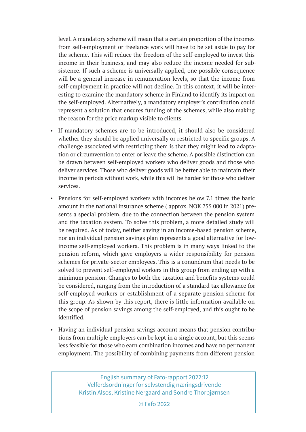level. A mandatory scheme will mean that a certain proportion of the incomes from self-employment or freelance work will have to be set aside to pay for the scheme. This will reduce the freedom of the self-employed to invest this income in their business, and may also reduce the income needed for subsistence. If such a scheme is universally applied, one possible consequence will be a general increase in remuneration levels, so that the income from self-employment in practice will not decline. In this context, it will be interesting to examine the mandatory scheme in Finland to identify its impact on the self-employed. Alternatively, a mandatory employer's contribution could represent a solution that ensures funding of the schemes, while also making the reason for the price markup visible to clients.

- If mandatory schemes are to be introduced, it should also be considered whether they should be applied universally or restricted to specific groups. A challenge associated with restricting them is that they might lead to adaptation or circumvention to enter or leave the scheme. A possible distinction can be drawn between self-employed workers who deliver goods and those who deliver services. Those who deliver goods will be better able to maintain their income in periods without work, while this will be harder for those who deliver services.
- Pensions for self-employed workers with incomes below 7.1 times the basic amount in the national insurance scheme ( approx. NOK 755 000 in 2021) presents a special problem, due to the connection between the pension system and the taxation system. To solve this problem, a more detailed study will be required. As of today, neither saving in an income-based pension scheme, nor an individual pension savings plan represents a good alternative for lowincome self-employed workers. This problem is in many ways linked to the pension reform, which gave employers a wider responsibility for pension schemes for private-sector employees. This is a conundrum that needs to be solved to prevent self-employed workers in this group from ending up with a minimum pension. Changes to both the taxation and benefits systems could be considered, ranging from the introduction of a standard tax allowance for self-employed workers or establishment of a separate pension scheme for this group. As shown by this report, there is little information available on the scope of pension savings among the self-employed, and this ought to be identified.
- Having an individual pension savings account means that pension contributions from multiple employers can be kept in a single account, but this seems less feasible for those who earn combination incomes and have no permanent employment. The possibility of combining payments from different pension

English summary of Fafo-rapport 2022:12 Velferdsordninger for selvstendig næringsdrivende Kristin Alsos, Kristine Nergaard and Sondre Thorbjørnsen